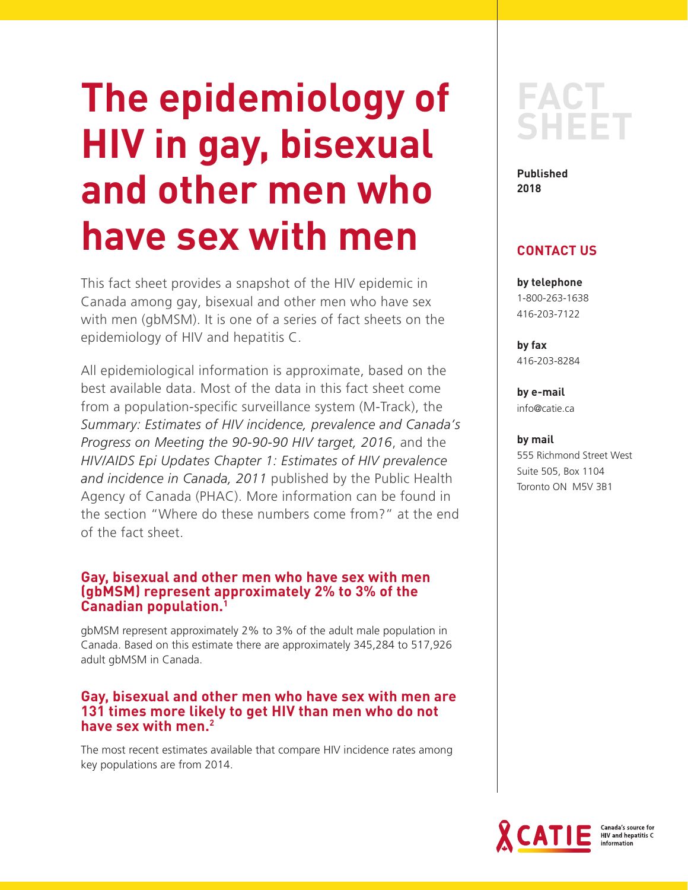# **The epidemiology of HIV in gay, bisexual and other men who have sex with men**

This fact sheet provides a snapshot of the HIV epidemic in Canada among gay, bisexual and other men who have sex with men (gbMSM). It is one of a series of fact sheets on the epidemiology of HIV and hepatitis C.

All epidemiological information is approximate, based on the best available data. Most of the data in this fact sheet come from a population-specific surveillance system (M-Track), the *Summary: Estimates of HIV incidence, prevalence and Canada's Progress on Meeting the 90-90-90 HIV target, 2016*, and the *HIV/AIDS Epi Updates Chapter 1: Estimates of HIV prevalence and incidence in Canada, 2011* published by the Public Health Agency of Canada (PHAC). More information can be found in the section "Where do these numbers come from?" at the end of the fact sheet.

# **Gay, bisexual and other men who have sex with men (gbMSM) represent approximately 2% to 3% of the Canadian population.1**

gbMSM represent approximately 2% to 3% of the adult male population in Canada. Based on this estimate there are approximately 345,284 to 517,926 adult gbMSM in Canada.

# **Gay, bisexual and other men who have sex with men are 131 times more likely to get HIV than men who do not have sex with men.2**

The most recent estimates available that compare HIV incidence rates among key populations are from 2014.

# **FACT SHEET**

**Published 2018** 

# **CONTACT US**

**by telephone** 1-800-263-1638 416-203-7122

**by fax** 416-203-8284

**by e-mail** info@catie.ca

#### **by mail**

555 Richmond Street West Suite 505, Box 1104 Toronto ON M5V 3B1

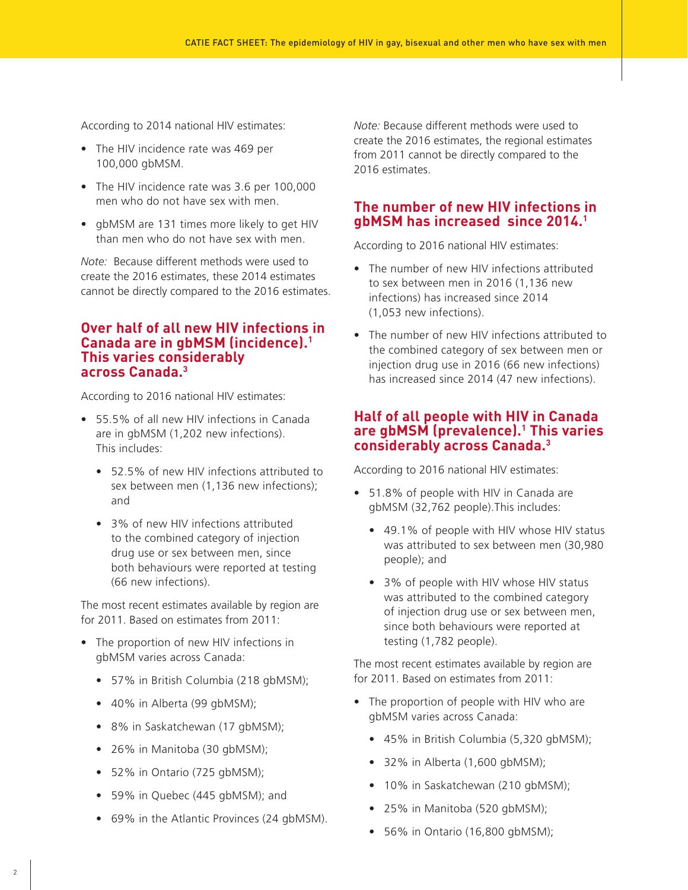According to 2014 national HIV estimates:

- The HIV incidence rate was 469 per 100,000 gbMSM.
- The HIV incidence rate was 3.6 per 100,000 men who do not have sex with men.
- gbMSM are 131 times more likely to get HIV than men who do not have sex with men.

*Note:* Because different methods were used to create the 2016 estimates, these 2014 estimates cannot be directly compared to the 2016 estimates.

#### **Over half of all new HIV infections in Canada are in gbMSM (incidence).1 This varies considerably across Canada.3**

According to 2016 national HIV estimates:

- 55.5% of all new HIV infections in Canada are in gbMSM (1,202 new infections). This includes:
	- 52.5% of new HIV infections attributed to sex between men (1,136 new infections); and
	- 3% of new HIV infections attributed to the combined category of injection drug use or sex between men, since both behaviours were reported at testing (66 new infections).

The most recent estimates available by region are for 2011. Based on estimates from 2011:

- The proportion of new HIV infections in gbMSM varies across Canada:
	- 57% in British Columbia (218 gbMSM);
	- 40% in Alberta (99 gbMSM);
	- 8% in Saskatchewan (17 gbMSM);
	- 26% in Manitoba (30 gbMSM);
	- 52% in Ontario (725 gbMSM);
	- 59% in Quebec (445 gbMSM); and
	- 69% in the Atlantic Provinces (24 gbMSM).

*Note:* Because different methods were used to create the 2016 estimates, the regional estimates from 2011 cannot be directly compared to the 2016 estimates.

# **The number of new HIV infections in gbMSM has increased since 2014.1**

According to 2016 national HIV estimates:

- The number of new HIV infections attributed to sex between men in 2016 (1,136 new infections) has increased since 2014 (1,053 new infections).
- The number of new HIV infections attributed to the combined category of sex between men or injection drug use in 2016 (66 new infections) has increased since 2014 (47 new infections).

#### **Half of all people with HIV in Canada are gbMSM (prevalence).1 This varies considerably across Canada.3**

According to 2016 national HIV estimates:

- 51.8% of people with HIV in Canada are gbMSM (32,762 people).This includes:
	- 49.1% of people with HIV whose HIV status was attributed to sex between men (30,980 people); and
	- 3% of people with HIV whose HIV status was attributed to the combined category of injection drug use or sex between men, since both behaviours were reported at testing (1,782 people).

The most recent estimates available by region are for 2011. Based on estimates from 2011:

- The proportion of people with HIV who are gbMSM varies across Canada:
	- 45% in British Columbia (5,320 gbMSM);
	- $\bullet$  32% in Alberta (1,600 gbMSM);
	- 10% in Saskatchewan (210 gbMSM);
	- 25% in Manitoba (520 gbMSM);
	- 56% in Ontario (16,800 gbMSM);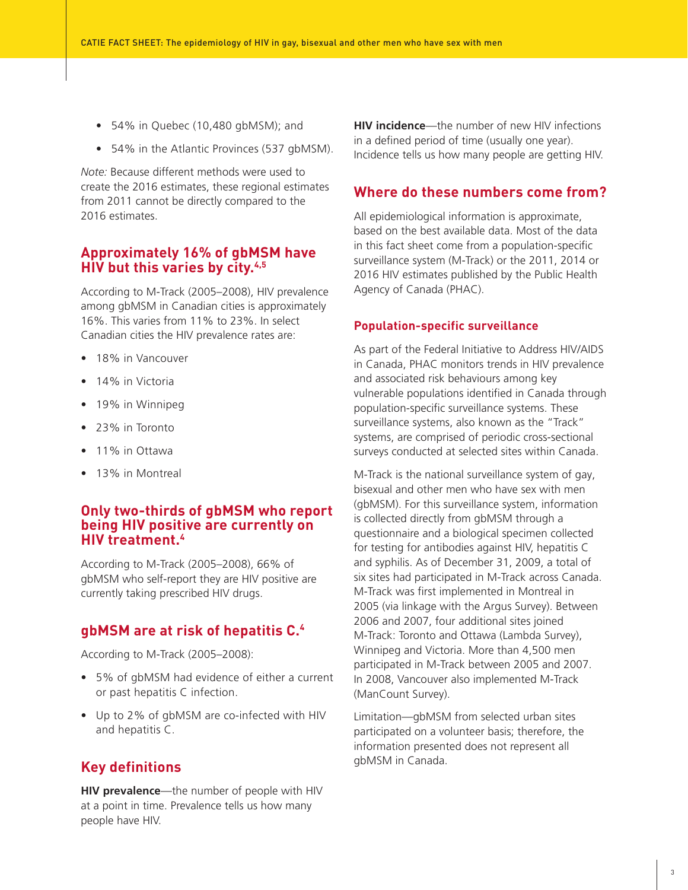- 54% in Quebec (10,480 gbMSM); and
- 54% in the Atlantic Provinces (537 gbMSM).

*Note:* Because different methods were used to create the 2016 estimates, these regional estimates from 2011 cannot be directly compared to the 2016 estimates.

#### **Approximately 16% of gbMSM have HIV but this varies by city.4,5**

According to M-Track (2005–2008), HIV prevalence among gbMSM in Canadian cities is approximately 16%. This varies from 11% to 23%. In select Canadian cities the HIV prevalence rates are:

- 18% in Vancouver
- 14% in Victoria
- 19% in Winnipeg
- 23% in Toronto
- 11% in Ottawa
- 13% in Montreal

#### **Only two-thirds of gbMSM who report being HIV positive are currently on HIV treatment.4**

According to M-Track (2005–2008), 66% of gbMSM who self-report they are HIV positive are currently taking prescribed HIV drugs.

# **gbMSM are at risk of hepatitis C.4**

According to M-Track (2005–2008):

- 5% of gbMSM had evidence of either a current or past hepatitis C infection.
- Up to 2% of gbMSM are co-infected with HIV and hepatitis C.

# **Key definitions**

**HIV prevalence**—the number of people with HIV at a point in time. Prevalence tells us how many people have HIV.

**HIV incidence**—the number of new HIV infections in a defined period of time (usually one year). Incidence tells us how many people are getting HIV.

#### **Where do these numbers come from?**

All epidemiological information is approximate, based on the best available data. Most of the data in this fact sheet come from a population-specific surveillance system (M-Track) or the 2011, 2014 or 2016 HIV estimates published by the Public Health Agency of Canada (PHAC).

#### **Population-specific surveillance**

As part of the Federal Initiative to Address HIV/AIDS in Canada, PHAC monitors trends in HIV prevalence and associated risk behaviours among key vulnerable populations identified in Canada through population-specific surveillance systems. These surveillance systems, also known as the "Track" systems, are comprised of periodic cross-sectional surveys conducted at selected sites within Canada.

M-Track is the national surveillance system of gay, bisexual and other men who have sex with men (gbMSM). For this surveillance system, information is collected directly from gbMSM through a questionnaire and a biological specimen collected for testing for antibodies against HIV, hepatitis C and syphilis. As of December 31, 2009, a total of six sites had participated in M-Track across Canada. M-Track was first implemented in Montreal in 2005 (via linkage with the Argus Survey). Between 2006 and 2007, four additional sites joined M-Track: Toronto and Ottawa (Lambda Survey), Winnipeg and Victoria. More than 4,500 men participated in M-Track between 2005 and 2007. In 2008, Vancouver also implemented M-Track (ManCount Survey).

Limitation—gbMSM from selected urban sites participated on a volunteer basis; therefore, the information presented does not represent all gbMSM in Canada.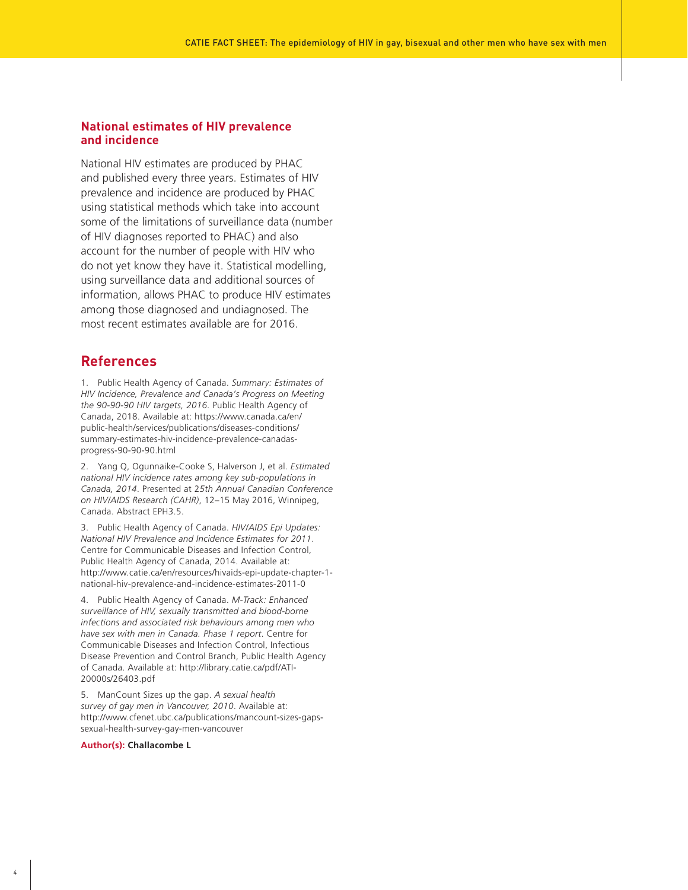#### **National estimates of HIV prevalence and incidence**

National HIV estimates are produced by PHAC and published every three years. Estimates of HIV prevalence and incidence are produced by PHAC using statistical methods which take into account some of the limitations of surveillance data (number of HIV diagnoses reported to PHAC) and also account for the number of people with HIV who do not yet know they have it. Statistical modelling, using surveillance data and additional sources of information, allows PHAC to produce HIV estimates among those diagnosed and undiagnosed. The most recent estimates available are for 2016.

#### **References**

1. Public Health Agency of Canada. *Summary: Estimates of HIV Incidence, Prevalence and Canada's Progress on Meeting the 90-90-90 HIV targets, 2016*. Public Health Agency of Canada, 2018. Available at: https://www.canada.ca/en/ public-health/services/publications/diseases-conditions/ summary-estimates-hiv-incidence-prevalence-canadasprogress-90-90-90.html

2. Yang Q, Ogunnaike-Cooke S, Halverson J, et al. *Estimated national HIV incidence rates among key sub-populations in Canada, 2014*. Presented at 2*5th Annual Canadian Conference on HIV/AIDS Research (CAHR)*, 12–15 May 2016, Winnipeg, Canada. Abstract EPH3.5.

3. Public Health Agency of Canada. *HIV/AIDS Epi Updates: National HIV Prevalence and Incidence Estimates for 2011*. Centre for Communicable Diseases and Infection Control, Public Health Agency of Canada, 2014. Available at: http://www.catie.ca/en/resources/hivaids-epi-update-chapter-1 national-hiv-prevalence-and-incidence-estimates-2011-0

4. Public Health Agency of Canada. *M-Track: Enhanced surveillance of HIV, sexually transmitted and blood-borne infections and associated risk behaviours among men who have sex with men in Canada. Phase 1 report*. Centre for Communicable Diseases and Infection Control, Infectious Disease Prevention and Control Branch, Public Health Agency of Canada. Available at: http://library.catie.ca/pdf/ATI-20000s/26403.pdf

5. ManCount Sizes up the gap. *A sexual health survey of gay men in Vancouver, 2010*. Available at: http://www.cfenet.ubc.ca/publications/mancount-sizes-gapssexual-health-survey-gay-men-vancouver

#### **Author(s): Challacombe L**